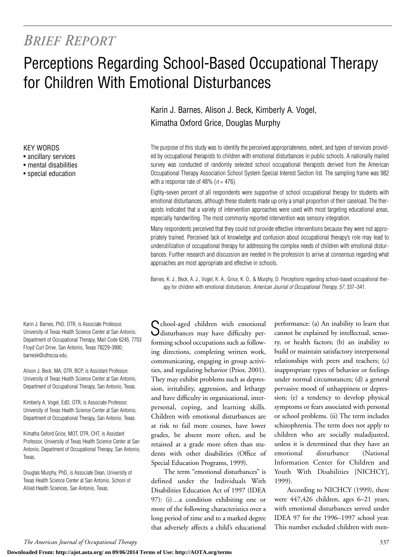## *BRIEF REPORT*

# Perceptions Regarding School-Based Occupational Therapy for Children With Emotional Disturbances

KEY WORDS

- ancillary services
- mental disabilities
- special education

Karin J. Barnes, PhD, OTR, is Associate Professor, University of Texas Health Science Center at San Antonio, Department of Occupational Therapy, Mail Code 6245, 7703 Floyd Curl Drive, San Antonio, Texas 78229-3900; barnesk@uthscsa.edu.

Alison J. Beck, MA, OTR, BCP, is Assistant Professor, University of Texas Health Science Center at San Antonio, Department of Occupational Therapy, San Antonio, Texas.

Kimberly A. Vogel, EdD, OTR, is Associate Professor, University of Texas Health Science Center at San Antonio, Department of Occupational Therapy, San Antonio, Texas.

Kimatha Oxford Grice, MOT, OTR, CHT, is Assistant Professor, University of Texas Health Science Center at San Antonio, Department of Occupational Therapy, San Antonio, Texas.

Douglas Murphy, PhD, is Associate Dean, University of Texas Health Science Center at San Antonio, School of Allied Health Sciences, San Antonio, Texas.

Karin J. Barnes, Alison J. Beck, Kimberly A. Vogel, Kimatha Oxford Grice, Douglas Murphy

The purpose of this study was to identify the perceived appropriateness, extent, and types of services provided by occupational therapists to children with emotional disturbances in public schools. A nationally mailed survey was conducted of randomly selected school occupational therapists derived from the American Occupational Therapy Association School System Special Interest Section list. The sampling frame was 982 with a response rate of 48% ( $n = 476$ ).

Eighty-seven percent of all respondents were supportive of school occupational therapy for students with emotional disturbances, although these students made up only a small proportion of their caseload. The therapists indicated that a variety of intervention approaches were used with most targeting educational areas, especially handwriting. The most commonly reported intervention was sensory integration.

Many respondents perceived that they could not provide effective interventions because they were not appropriately trained. Perceived lack of knowledge and confusion about occupational therapy's role may lead to underutilization of occupational therapy for addressing the complex needs of children with emotional disturbances. Further research and discussion are needed in the profession to arrive at consensus regarding what approaches are most appropriate and effective in schools.

Barnes, K. J., Beck, A. J., Vogel, K. A., Grice, K. O., & Murphy, D. Perceptions regarding school-based occupational therapy for children with emotional disturbances. *American Journal of Occupational Therapy, 57*, 337–341.

Cchool-aged children with emotional disturbances may have difficulty performing school occupations such as following directions, completing written work, communicating, engaging in group activities, and regulating behavior (Prior, 2001). They may exhibit problems such as depression, irritability, aggression, and lethargy and have difficulty in organizational, interpersonal, coping, and learning skills. Children with emotional disturbances are at risk to fail more courses, have lower grades, be absent more often, and be retained at a grade more often than students with other disabilities (Office of Special Education Programs, 1999).

The term "emotional disturbances" is defined under the Individuals With Disabilities Education Act of 1997 (IDEA 97): (i)…a condition exhibiting one or more of the following characteristics over a long period of time and to a marked degree that adversely affects a child's educational

performance: (a) An inability to learn that cannot be explained by intellectual, sensory, or health factors; (b) an inability to build or maintain satisfactory interpersonal relationships with peers and teachers; (c) inappropriate types of behavior or feelings under normal circumstances; (d) a general pervasive mood of unhappiness or depression; (e) a tendency to develop physical symptoms or fears associated with personal or school problems. (ii) The term includes schizophrenia. The term does not apply to children who are socially maladjusted, unless it is determined that they have an emotional disturbance (National Information Center for Children and Youth With Disabilities [NICHCY], 1999).

According to NICHCY (1999), there were 447,426 children, ages 6–21 years, with emotional disturbances served under IDEA 97 for the 1996–1997 school year. This number excluded children with men-

**Downloaded From: http://ajot.aota.org/ on 09/06/2014 Terms of Use: http://AOTA.org/terms**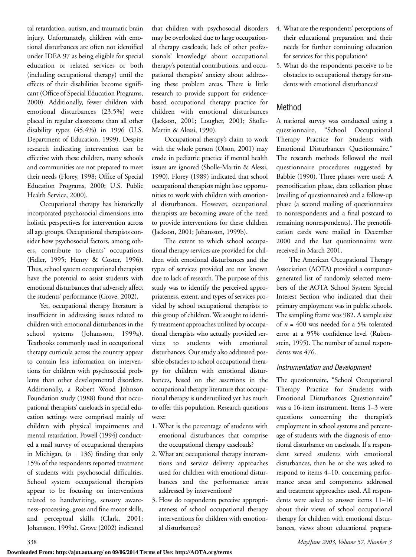tal retardation, autism, and traumatic brain injury. Unfortunately, children with emotional disturbances are often not identified under IDEA 97 as being eligible for special education or related services or both (including occupational therapy) until the effects of their disabilities become significant (Office of Special Education Programs, 2000). Additionally, fewer children with emotional disturbances (23.5%) were placed in regular classrooms than all other disability types (45.4%) in 1996 (U.S. Department of Education, 1999). Despite research indicating intervention can be effective with these children, many schools and communities are not prepared to meet their needs (Florey, 1998; Office of Special Education Programs, 2000; U.S. Public Health Service, 2000).

Occupational therapy has historically incorporated psychosocial dimensions into holistic perspectives for intervention across all age groups. Occupational therapists consider how psychosocial factors, among others, contribute to clients' occupations (Fidler, 1995; Henry & Coster, 1996). Thus, school system occupational therapists have the potential to assist students with emotional disturbances that adversely affect the students' performance (Grove, 2002).

Yet, occupational therapy literature is insufficient in addressing issues related to children with emotional disturbances in the school systems (Johansson, 1999a). Textbooks commonly used in occupational therapy curricula across the country appear to contain less information on interventions for children with psychosocial problems than other developmental disorders. Additionally, a Robert Wood Johnson Foundation study (1988) found that occupational therapists' caseloads in special education settings were comprised mainly of children with physical impairments and mental retardation. Powell (1994) conducted a mail survey of occupational therapists in Michigan, (*n* = 136) finding that only 15% of the respondents reported treatment of students with psychosocial difficulties. School system occupational therapists appear to be focusing on interventions related to handwriting, sensory awareness–processing, gross and fine motor skills, and perceptual skills (Clark, 2001; Johansson, 1999a). Grove (2002) indicated

that children with psychosocial disorders may be overlooked due to large occupational therapy caseloads, lack of other professionals' knowledge about occupational therapy's potential contributions, and occupational therapists' anxiety about addressing these problem areas. There is little research to provide support for evidencebased occupational therapy practice for children with emotional disturbances (Jackson, 2001; Lougher, 2001; Sholle-Martin & Alessi, 1990).

Occupational therapy's claim to work with the whole person (Olson, 2001) may erode in pediatric practice if mental health issues are ignored (Sholle-Martin & Alessi, 1990). Florey (1989) indicated that school occupational therapists might lose opportunities to work with children with emotional disturbances. However, occupational therapists are becoming aware of the need to provide interventions for these children (Jackson, 2001; Johansson, 1999b).

The extent to which school occupational therapy services are provided for children with emotional disturbances and the types of services provided are not known due to lack of research. The purpose of this study was to identify the perceived appropriateness, extent, and types of services provided by school occupational therapists to this group of children. We sought to identify treatment approaches utilized by occupational therapists who actually provided services to students with emotional disturbances. Our study also addressed possible obstacles to school occupational therapy for children with emotional disturbances, based on the assertions in the occupational therapy literature that occupational therapy is underutilized yet has much to offer this population. Research questions were:

- 1. What is the percentage of students with emotional disturbances that comprise the occupational therapy caseloads?
- 2. What are occupational therapy interventions and service delivery approaches used for children with emotional disturbances and the performance areas addressed by interventions?
- 3. How do respondents perceive appropriateness of school occupational therapy interventions for children with emotional disturbances?
- 4. What are the respondents' perceptions of their educational preparation and their needs for further continuing education for services for this population?
- 5. What do the respondents perceive to be obstacles to occupational therapy for students with emotional disturbances?

## Method

A national survey was conducted using a questionnaire, "School Occupational Therapy Practice for Students with Emotional Disturbances Questionnaire." The research methods followed the mail questionnaire procedures suggested by Babbie (1990). Three phases were used: A prenotification phase, data collection phase (mailing of questionnaires) and a follow-up phase (a second mailing of questionnaires to nonrespondents and a final postcard to remaining nonrespondents). The prenotification cards were mailed in December 2000 and the last questionnaires were received in March 2001.

The American Occupational Therapy Association (AOTA) provided a computergenerated list of randomly selected members of the AOTA School System Special Interest Section who indicated that their primary employment was in public schools. The sampling frame was 982. A sample size of  $n = 400$  was needed for a 5% tolerated error at a 95% confidence level (Rubenstein, 1995). The number of actual respondents was 476.

## *Instrumentation and Development*

The questionnaire, "School Occupational Therapy Practice for Students with Emotional Disturbances Questionnaire" was a 16-item instrument. Items 1–3 were questions concerning the therapist's employment in school systems and percentage of students with the diagnosis of emotional disturbance on caseloads. If a respondent served students with emotional disturbances, then he or she was asked to respond to items 4–10, concerning performance areas and components addressed and treatment approaches used. All respondents were asked to answer items 11–16 about their views of school occupational therapy for children with emotional disturbances, views about educational prepara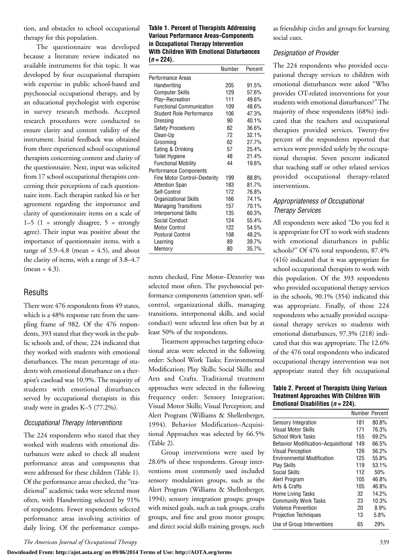tion, and obstacles to school occupational therapy for this population.

The questionnaire was developed because a literature review indicated no available instruments for this topic. It was developed by four occupational therapists with expertise in public school-based and psychosocial occupational therapy, and by an educational psychologist with expertise in survey research methods. Accepted research procedures were conducted to ensure clarity and content validity of the instrument. Initial feedback was obtained from three experienced school occupational therapists concerning content and clarity of the questionnaire. Next, input was solicited from 17 school occupational therapists concerning their perceptions of each questionnaire item. Each therapist ranked his or her agreement regarding the importance and clarity of questionnaire items on a scale of  $1-5$   $(1 -$  strongly disagree,  $5 -$  strongly agree). Their input was positive about the importance of questionnaire items, with a range of  $3.9-4.8$  (mean = 4.5), and about the clarity of items, with a range of 3.8–4.7  $(mean = 4.3)$ .

## Results

There were 476 respondents from 49 states, which is a 48% response rate from the sampling frame of 982. Of the 476 respondents, 393 stated that they work in the public schools and, of these, 224 indicated that they worked with students with emotional disturbances. The mean percentage of students with emotional disturbance on a therapist's caseload was 10.9%. The majority of students with emotional disturbances served by occupational therapists in this study were in grades K–5 (77.2%).

#### *Occupational Therapy Interventions*

The 224 respondents who stated that they worked with students with emotional disturbances were asked to check all student performance areas and components that were addressed for these children (Table 1). Of the performance areas checked, the "traditional" academic tasks were selected most often, with Handwriting selected by 91% of respondents. Fewer respondents selected performance areas involving activities of daily living. Of the performance compo-

#### **Table 1. Percent of Therapists Addressing Various Performance Areas–Components in Occupational Therapy Intervention With Children With Emotional Disturbances (***n* **= 224).**

|                                 | Number | Percent |
|---------------------------------|--------|---------|
| Performance Areas               |        |         |
| Handwriting                     | 205    | 91.5%   |
| <b>Computer Skills</b>          | 129    | 57.6%   |
| Play-Recreation                 | 111    | 49.6%   |
| <b>Functional Communication</b> | 109    | 48.6%   |
| Student Role Performance        | 106    | 47.3%   |
| Dressing                        | 90     | 40.1%   |
| <b>Safety Procedures</b>        | 82     | 36.6%   |
| Clean-Up                        | 72     | 32.1%   |
| Grooming                        | 62     | 27.7%   |
| Eating & Drinking               | 57     | 25.4%   |
| <b>Toilet Hygiene</b>           | 48     | 21.4%   |
| <b>Functional Mobility</b>      | 44     | 19.6%   |
| Performance Components          |        |         |
| Fine Motor Control-Dexterity    | 199    | 88.8%   |
| <b>Attention Span</b>           | 183    | 81.7%   |
| Self-Control                    | 172    | 76.8%   |
| Organizational Skills           | 166    | 74.1%   |
| <b>Managing Transitions</b>     | 157    | 70.1%   |
| Interpersonal Skills            | 135    | 60.3%   |
| Social Conduct                  | 124    | 55.4%   |
| Motor Control                   | 122    | 54.5%   |
| <b>Postural Control</b>         | 108    | 48.2%   |
| Learning                        | 89     | 39.7%   |
| Memory                          | 80     | 35.7%   |

nents checked, Fine Motor–Dexterity was selected most often. The psychosocial performance components (attention span, selfcontrol, organizational skills, managing transitions, interpersonal skills, and social conduct) were selected less often but by at least 50% of the respondents.

Treatment approaches targeting educational areas were selected in the following order: School Work Tasks; Environmental Modification; Play Skills; Social Skills; and Arts and Crafts. Traditional treatment approaches were selected in the following frequency order: Sensory Integration; Visual Motor Skills; Visual Perception; and Alert Program (Williams & Shellenberger, 1994). Behavior Modification–Acquisitional Approaches was selected by 66.5% (Table 2).

Group interventions were used by 28.6% of these respondents. Group interventions most commonly used included sensory modulation groups, such as the Alert Program (Williams & Shellenberger, 1994); sensory integration groups; groups with mixed goals, such as task groups, crafts groups, and fine and gross motor groups; and direct social skills training groups, such

as friendship circles and groups for learning social cues.

#### *Designation of Provider*

The 224 respondents who provided occupational therapy services to children with emotional disturbances were asked "Who provides OT-related interventions for your students with emotional disturbances?" The majority of these respondents (68%) indicated that the teachers and occupational therapists provided services. Twenty-five percent of the respondents reported that services were provided solely by the occupational therapist. Seven percent indicated that teaching staff or other related services provided occupational therapy-related interventions.

### *Appropriateness of Occupational Therapy Services*

All respondents were asked "Do you feel it is appropriate for OT to work with students with emotional disturbances in public schools?" Of 476 total respondents, 87.4% (416) indicated that it was appropriate for school occupational therapists to work with this population. Of the 393 respondents who provided occupational therapy services in the schools, 90.1% (354) indicated this was appropriate. Finally, of those 224 respondents who actually provided occupational therapy services to students with emotional disturbances, 97.3% (218) indicated that this was appropriate. The 12.6% of the 476 total respondents who indicated occupational therapy intervention was not appropriate stated they felt occupational

#### **Table 2. Percent of Therapists Using Various Treatment Approaches With Children With Emotional Disabilities (***n* **= 224).**

|                                     | <b>Number Percent</b> |       |
|-------------------------------------|-----------------------|-------|
| Sensory Integration                 | 181                   | 80.8% |
| Visual Motor Skills                 | 171                   | 76.3% |
| <b>School Work Tasks</b>            | 155                   | 69.2% |
| Behavior Modification–Acquisitional | 149                   | 66.5% |
| <b>Visual Perception</b>            | 126                   | 56.2% |
| <b>Environmental Modification</b>   | 125                   | 55.8% |
| <b>Play Skills</b>                  | 119                   | 53.1% |
| Social Skills                       | 112                   | 50%   |
| Alert Program                       | 105                   | 46.8% |
| Arts & Crafts                       | 105                   | 46.8% |
| Home Living Tasks                   | 32                    | 14.2% |
| <b>Community Work Tasks</b>         | 23                    | 10.3% |
| <b>Violence Prevention</b>          | 20                    | 8.9%  |
| <b>Projective Techniques</b>        | 13                    | 5.8%  |
| Use of Group Interventions          | 65                    | 29%   |

**Downloaded From: http://ajot.aota.org/ on 09/06/2014 Terms of Use: http://AOTA.org/terms**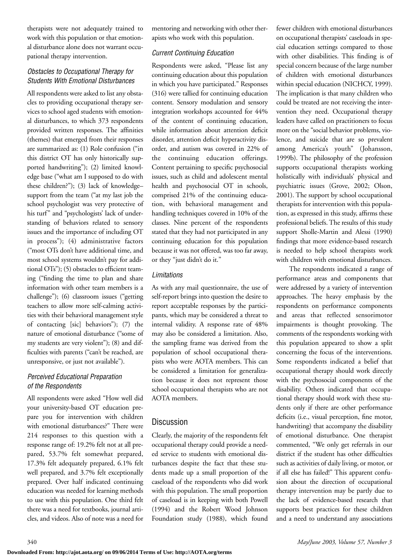therapists were not adequately trained to work with this population or that emotional disturbance alone does not warrant occupational therapy intervention.

## *Obstacles to Occupational Therapy for Students With Emotional Disturbances*

All respondents were asked to list any obstacles to providing occupational therapy services to school aged students with emotional disturbances, to which 373 respondents provided written responses. The affinities (themes) that emerged from their responses are summarized as: (1) Role confusion ("in this district OT has only historically supported handwriting"); (2) limited knowledge base ("what am I supposed to do with these children?"); (3) lack of knowledge– support from the team ("at my last job the school psychologist was very protective of his turf" and "psychologists' lack of understanding of behaviors related to sensory issues and the importance of including OT in process"); (4) administrative factors ("most OTs don't have additional time, and most school systems wouldn't pay for additional OTs"); (5) obstacles to efficient teaming ("finding the time to plan and share information with other team members is a challenge"); (6) classroom issues ("getting teachers to allow more self-calming activities with their behavioral management style of contacting [sic] behaviors"); (7) the nature of emotional disturbance ("some of my students are very violent"); (8) and difficulties with parents ("can't be reached, are unresponsive, or just not available").

## *Perceived Educational Preparation of the Respondents*

All respondents were asked "How well did your university-based OT education prepare you for intervention with children with emotional disturbances?" There were 214 responses to this question with a response range of: 19.2% felt not at all prepared, 53.7% felt somewhat prepared, 17.3% felt adequately prepared, 6.1% felt well prepared, and 3.7% felt exceptionally prepared. Over half indicated continuing education was needed for learning methods to use with this population. One third felt there was a need for textbooks, journal articles, and videos. Also of note was a need for

mentoring and networking with other therapists who work with this population.

## *Current Continuing Education*

Respondents were asked, "Please list any continuing education about this population in which you have participated." Responses (316) were tallied for continuing education content. Sensory modulation and sensory integration workshops accounted for 44% of the content of continuing education, while information about attention deficit disorder, attention deficit hyperactivity disorder, and autism was covered in 22% of the continuing education offerings. Content pertaining to specific psychosocial issues, such as child and adolescent mental health and psychosocial OT in schools, comprised 21% of the continuing education, with behavioral management and handling techniques covered in 10% of the classes. Nine percent of the respondents stated that they had not participated in any continuing education for this population because it was not offered, was too far away, or they "just didn't do it."

## *Limitations*

As with any mail questionnaire, the use of self-report brings into question the desire to report acceptable responses by the participants, which may be considered a threat to internal validity. A response rate of 48% may also be considered a limitation. Also, the sampling frame was derived from the population of school occupational therapists who were AOTA members. This can be considered a limitation for generalization because it does not represent those school occupational therapists who are not AOTA members.

## **Discussion**

Clearly, the majority of the respondents felt occupational therapy could provide a needed service to students with emotional disturbances despite the fact that these students made up a small proportion of the caseload of the respondents who did work with this population. The small proportion of caseload is in keeping with both Powell (1994) and the Robert Wood Johnson Foundation study (1988), which found fewer children with emotional disturbances on occupational therapists' caseloads in special education settings compared to those with other disabilities. This finding is of special concern because of the large number of children with emotional disturbances within special education (NICHCY, 1999). The implication is that many children who could be treated are not receiving the intervention they need. Occupational therapy leaders have called on practitioners to focus more on the "social behavior problems, violence, and suicide that are so prevalent among America's youth" (Johansson, 1999b). The philosophy of the profession supports occupational therapists working holistically with individuals' physical and psychiatric issues (Grove, 2002; Olson, 2001). The support by school occupational therapists for intervention with this population, as expressed in this study, affirms these professional beliefs. The results of this study support Sholle-Martin and Alessi (1990) findings that more evidence-based research is needed to help school therapists work with children with emotional disturbances.

The respondents indicated a range of performance areas and components that were addressed by a variety of intervention approaches. The heavy emphasis by the respondents on performance components and areas that reflected sensorimotor impairments is thought provoking. The comments of the respondents working with this population appeared to show a split concerning the focus of the interventions. Some respondents indicated a belief that occupational therapy should work directly with the psychosocial components of the disability. Others indicated that occupational therapy should work with these students only if there are other performance deficits (i.e., visual perception, fine motor, handwriting) that accompany the disability of emotional disturbance. One therapist commented, "We only get referrals in our district if the student has other difficulties such as activities of daily living, or motor, or if all else has failed!" This apparent confusion about the direction of occupational therapy intervention may be partly due to the lack of evidence-based research that supports best practices for these children and a need to understand any associations